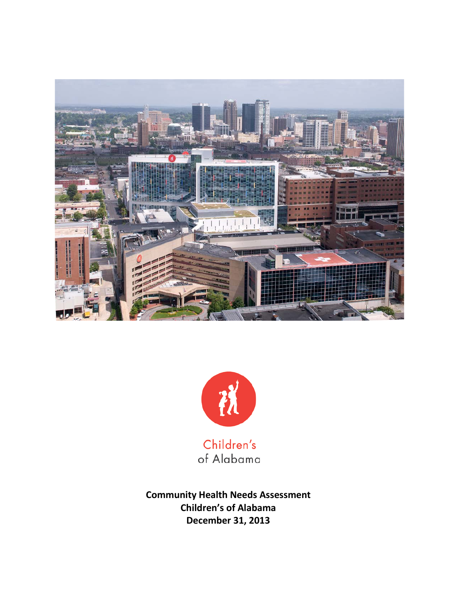



**Community Health Needs Assessment Children's of Alabama December 31, 2013**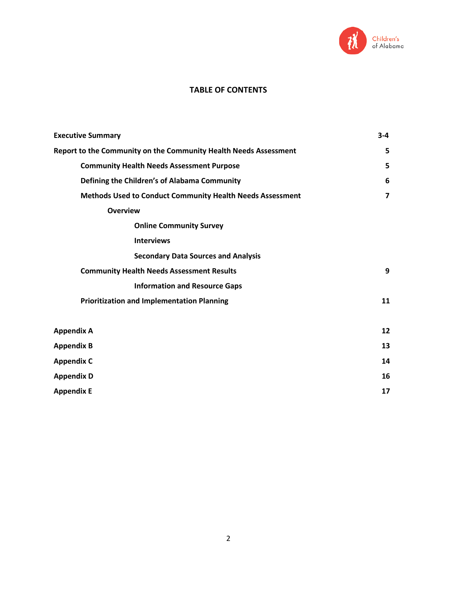

## **TABLE OF CONTENTS**

| <b>Executive Summary</b>                                         | $3 - 4$        |  |  |  |  |
|------------------------------------------------------------------|----------------|--|--|--|--|
| Report to the Community on the Community Health Needs Assessment | 5              |  |  |  |  |
| <b>Community Health Needs Assessment Purpose</b>                 |                |  |  |  |  |
| Defining the Children's of Alabama Community                     | 6              |  |  |  |  |
| Methods Used to Conduct Community Health Needs Assessment        | $\overline{ }$ |  |  |  |  |
| <b>Overview</b>                                                  |                |  |  |  |  |
| <b>Online Community Survey</b>                                   |                |  |  |  |  |
| <b>Interviews</b>                                                |                |  |  |  |  |
| <b>Secondary Data Sources and Analysis</b>                       |                |  |  |  |  |
| <b>Community Health Needs Assessment Results</b>                 | 9              |  |  |  |  |
| <b>Information and Resource Gaps</b>                             |                |  |  |  |  |
| <b>Prioritization and Implementation Planning</b>                | 11             |  |  |  |  |
| <b>Appendix A</b>                                                | 12             |  |  |  |  |
| <b>Appendix B</b>                                                | 13             |  |  |  |  |
| <b>Appendix C</b>                                                | 14             |  |  |  |  |
| <b>Appendix D</b>                                                | 16             |  |  |  |  |
| <b>Appendix E</b>                                                | 17             |  |  |  |  |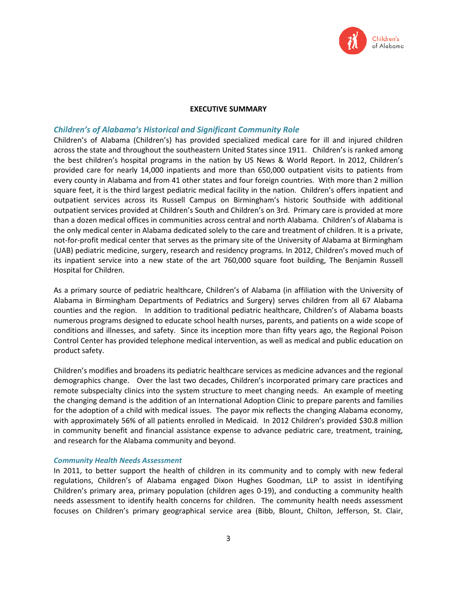

#### **EXECUTIVE SUMMARY**

## *Children's of Alabama's Historical and Significant Community Role*

Children's of Alabama (Children's) has provided specialized medical care for ill and injured children across the state and throughout the southeastern United States since 1911. Children's is ranked among the best children's hospital programs in the nation by US News & World Report. In 2012, Children's provided care for nearly 14,000 inpatients and more than 650,000 outpatient visits to patients from every county in Alabama and from 41 other states and four foreign countries. With more than 2 million square feet, it is the third largest pediatric medical facility in the nation. Children's offers inpatient and outpatient services across its Russell Campus on Birmingham's historic Southside with additional outpatient services provided at Children's South and Children's on 3rd. Primary care is provided at more than a dozen medical offices in communities across central and north Alabama. Children's of Alabama is the only medical center in Alabama dedicated solely to the care and treatment of children. It is a private, not-for-profit medical center that serves as the primary site of the University of Alabama at Birmingham (UAB) pediatric medicine, surgery, research and residency programs. In 2012, Children's moved much of its inpatient service into a new state of the art 760,000 square foot building, The Benjamin Russell Hospital for Children.

As a primary source of pediatric healthcare, Children's of Alabama (in affiliation with the University of Alabama in Birmingham Departments of Pediatrics and Surgery) serves children from all 67 Alabama counties and the region. In addition to traditional pediatric healthcare, Children's of Alabama boasts numerous programs designed to educate school health nurses, parents, and patients on a wide scope of conditions and illnesses, and safety. Since its inception more than fifty years ago, the Regional Poison Control Center has provided telephone medical intervention, as well as medical and public education on product safety.

Children's modifies and broadens its pediatric healthcare services as medicine advances and the regional demographics change. Over the last two decades, Children's incorporated primary care practices and remote subspecialty clinics into the system structure to meet changing needs. An example of meeting the changing demand is the addition of an International Adoption Clinic to prepare parents and families for the adoption of a child with medical issues. The payor mix reflects the changing Alabama economy, with approximately 56% of all patients enrolled in Medicaid. In 2012 Children's provided \$30.8 million in community benefit and financial assistance expense to advance pediatric care, treatment, training, and research for the Alabama community and beyond.

#### *Community Health Needs Assessment*

In 2011, to better support the health of children in its community and to comply with new federal regulations, Children's of Alabama engaged Dixon Hughes Goodman, LLP to assist in identifying Children's primary area, primary population (children ages 0-19), and conducting a community health needs assessment to identify health concerns for children. The community health needs assessment focuses on Children's primary geographical service area (Bibb, Blount, Chilton, Jefferson, St. Clair,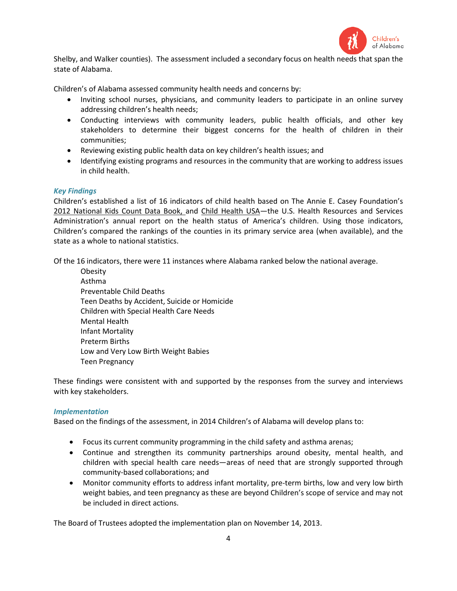

Shelby, and Walker counties). The assessment included a secondary focus on health needs that span the state of Alabama.

Children's of Alabama assessed community health needs and concerns by:

- Inviting school nurses, physicians, and community leaders to participate in an online survey addressing children's health needs;
- Conducting interviews with community leaders, public health officials, and other key stakeholders to determine their biggest concerns for the health of children in their communities;
- Reviewing existing public health data on key children's health issues; and
- Identifying existing programs and resources in the community that are working to address issues in child health.

### *Key Findings*

Children's established a list of 16 indicators of child health based on The Annie E. Casey Foundation's 2012 National Kids Count Data Book, and Child Health USA—the U.S. Health Resources and Services Administration's annual report on the health status of America's children. Using those indicators, Children's compared the rankings of the counties in its primary service area (when available), and the state as a whole to national statistics.

Of the 16 indicators, there were 11 instances where Alabama ranked below the national average.

**Obesity** Asthma Preventable Child Deaths Teen Deaths by Accident, Suicide or Homicide Children with Special Health Care Needs Mental Health Infant Mortality Preterm Births Low and Very Low Birth Weight Babies Teen Pregnancy

These findings were consistent with and supported by the responses from the survey and interviews with key stakeholders.

#### *Implementation*

Based on the findings of the assessment, in 2014 Children's of Alabama will develop plans to:

- Focus its current community programming in the child safety and asthma arenas;
- Continue and strengthen its community partnerships around obesity, mental health, and children with special health care needs—areas of need that are strongly supported through community-based collaborations; and
- Monitor community efforts to address infant mortality, pre-term births, low and very low birth weight babies, and teen pregnancy as these are beyond Children's scope of service and may not be included in direct actions.

The Board of Trustees adopted the implementation plan on November 14, 2013.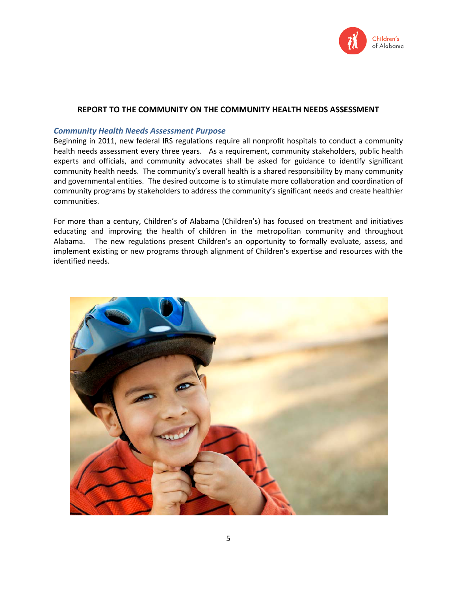

## **REPORT TO THE COMMUNITY ON THE COMMUNITY HEALTH NEEDS ASSESSMENT**

## *Community Health Needs Assessment Purpose*

Beginning in 2011, new federal IRS regulations require all nonprofit hospitals to conduct a community health needs assessment every three years. As a requirement, community stakeholders, public health experts and officials, and community advocates shall be asked for guidance to identify significant community health needs. The community's overall health is a shared responsibility by many community and governmental entities. The desired outcome is to stimulate more collaboration and coordination of community programs by stakeholders to address the community's significant needs and create healthier communities.

For more than a century, Children's of Alabama (Children's) has focused on treatment and initiatives educating and improving the health of children in the metropolitan community and throughout Alabama. The new regulations present Children's an opportunity to formally evaluate, assess, and implement existing or new programs through alignment of Children's expertise and resources with the identified needs.

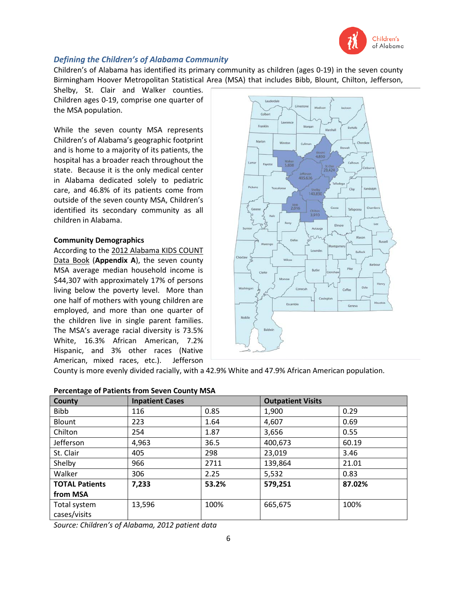

# *Defining the Children's of Alabama Community*

Children's of Alabama has identified its primary community as children (ages 0-19) in the seven county Birmingham Hoover Metropolitan Statistical Area (MSA) that includes Bibb, Blount, Chilton, Jefferson,

Shelby, St. Clair and Walker counties. Children ages 0-19, comprise one quarter of the MSA population.

While the seven county MSA represents Children's of Alabama's geographic footprint and is home to a majority of its patients, the hospital has a broader reach throughout the state. Because it is the only medical center in Alabama dedicated solely to pediatric care, and 46.8% of its patients come from outside of the seven county MSA, Children's identified its secondary community as all children in Alabama.

### **Community Demographics**

According to the 2012 Alabama KIDS COUNT Data Book (**Appendix A**), the seven county MSA average median household income is \$44,307 with approximately 17% of persons living below the poverty level. More than one half of mothers with young children are employed, and more than one quarter of the children live in single parent families. The MSA's average racial diversity is 73.5% White, 16.3% African American, 7.2% Hispanic, and 3% other races (Native American, mixed races, etc.). Jefferson



County is more evenly divided racially, with a 42.9% White and 47.9% African American population.

| County                | <b>Inpatient Cases</b> |       | <b>Outpatient Visits</b> |        |  |  |  |
|-----------------------|------------------------|-------|--------------------------|--------|--|--|--|
| <b>Bibb</b>           | 116                    | 0.85  | 1,900                    | 0.29   |  |  |  |
| Blount                | 223                    | 1.64  | 4,607                    | 0.69   |  |  |  |
| Chilton               | 254                    | 1.87  | 3,656                    | 0.55   |  |  |  |
| Jefferson             | 4,963                  | 36.5  | 400,673                  | 60.19  |  |  |  |
| St. Clair             | 405                    | 298   | 23,019                   | 3.46   |  |  |  |
| Shelby                | 966                    | 2711  | 139,864                  | 21.01  |  |  |  |
| Walker                | 306                    | 2.25  | 5,532                    | 0.83   |  |  |  |
| <b>TOTAL Patients</b> | 7,233                  | 53.2% | 579,251                  | 87.02% |  |  |  |
| from MSA              |                        |       |                          |        |  |  |  |
| Total system          | 13,596                 | 100%  | 665,675                  | 100%   |  |  |  |
| cases/visits          |                        |       |                          |        |  |  |  |

### **Percentage of Patients from Seven County MSA**

*Source: Children's of Alabama, 2012 patient data*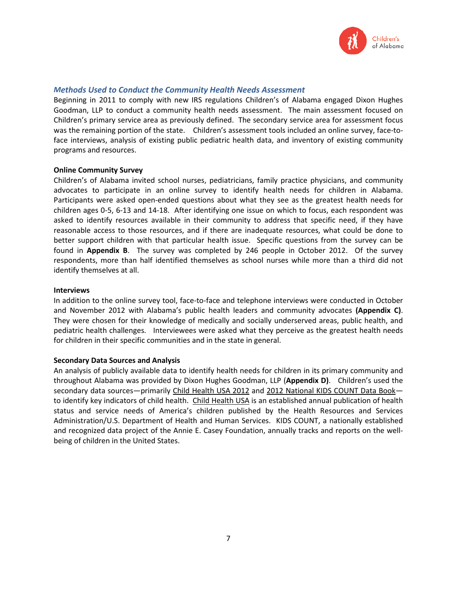

## *Methods Used to Conduct the Community Health Needs Assessment*

Beginning in 2011 to comply with new IRS regulations Children's of Alabama engaged Dixon Hughes Goodman, LLP to conduct a community health needs assessment. The main assessment focused on Children's primary service area as previously defined. The secondary service area for assessment focus was the remaining portion of the state. Children's assessment tools included an online survey, face-toface interviews, analysis of existing public pediatric health data, and inventory of existing community programs and resources.

#### **Online Community Survey**

Children's of Alabama invited school nurses, pediatricians, family practice physicians, and community advocates to participate in an online survey to identify health needs for children in Alabama. Participants were asked open-ended questions about what they see as the greatest health needs for children ages 0-5, 6-13 and 14-18. After identifying one issue on which to focus, each respondent was asked to identify resources available in their community to address that specific need, if they have reasonable access to those resources, and if there are inadequate resources, what could be done to better support children with that particular health issue. Specific questions from the survey can be found in **Appendix B**. The survey was completed by 246 people in October 2012. Of the survey respondents, more than half identified themselves as school nurses while more than a third did not identify themselves at all.

#### **Interviews**

In addition to the online survey tool, face-to-face and telephone interviews were conducted in October and November 2012 with Alabama's public health leaders and community advocates **(Appendix C)**. They were chosen for their knowledge of medically and socially underserved areas, public health, and pediatric health challenges. Interviewees were asked what they perceive as the greatest health needs for children in their specific communities and in the state in general.

#### **Secondary Data Sources and Analysis**

An analysis of publicly available data to identify health needs for children in its primary community and throughout Alabama was provided by Dixon Hughes Goodman, LLP (**Appendix D)**. Children's used the secondary data sources—primarily Child Health USA 2012 and 2012 National KIDS COUNT Data Book to identify key indicators of child health. Child Health USA is an established annual publication of health status and service needs of America's children published by the Health Resources and Services Administration/U.S. Department of Health and Human Services. KIDS COUNT, a nationally established and recognized data project of the Annie E. Casey Foundation, annually tracks and reports on the wellbeing of children in the United States.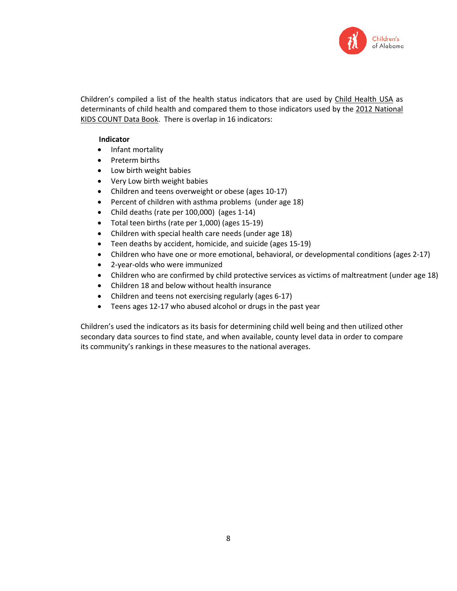

Children's compiled a list of the health status indicators that are used by Child Health USA as determinants of child health and compared them to those indicators used by the 2012 National KIDS COUNT Data Book. There is overlap in 16 indicators:

## **Indicator**

- Infant mortality
- Preterm births
- Low birth weight babies
- Very Low birth weight babies
- Children and teens overweight or obese (ages 10-17)
- Percent of children with asthma problems (under age 18)
- Child deaths (rate per 100,000) (ages 1-14)
- Total teen births (rate per 1,000) (ages 15-19)
- Children with special health care needs (under age 18)
- Teen deaths by accident, homicide, and suicide (ages 15-19)
- Children who have one or more emotional, behavioral, or developmental conditions (ages 2-17)
- 2-year-olds who were immunized
- Children who are confirmed by child protective services as victims of maltreatment (under age 18)
- Children 18 and below without health insurance
- Children and teens not exercising regularly (ages 6-17)
- Teens ages 12-17 who abused alcohol or drugs in the past year

Children's used the indicators as its basis for determining child well being and then utilized other secondary data sources to find state, and when available, county level data in order to compare its community's rankings in these measures to the national averages.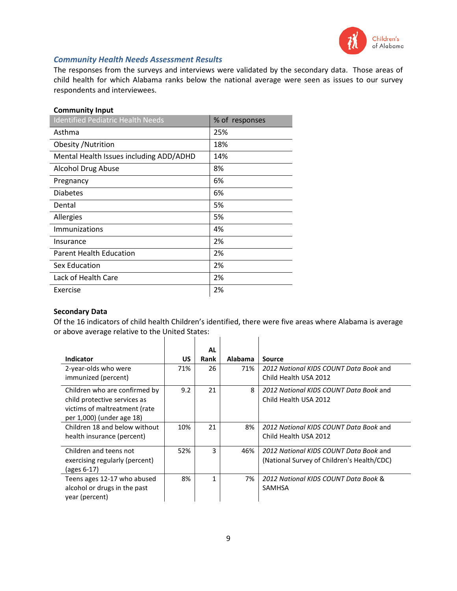

# *Community Health Needs Assessment Results*

The responses from the surveys and interviews were validated by the secondary data. Those areas of child health for which Alabama ranks below the national average were seen as issues to our survey respondents and interviewees.

# **Community Input**

| <b>Identified Pediatric Health Needs</b> | % of responses |
|------------------------------------------|----------------|
| Asthma                                   | 25%            |
| Obesity / Nutrition                      | 18%            |
| Mental Health Issues including ADD/ADHD  | 14%            |
| <b>Alcohol Drug Abuse</b>                | 8%             |
| Pregnancy                                | 6%             |
| <b>Diabetes</b>                          | 6%             |
| Dental                                   | 5%             |
| Allergies                                | 5%             |
| <b>Immunizations</b>                     | 4%             |
| Insurance                                | 2%             |
| <b>Parent Health Education</b>           | 2%             |
| <b>Sex Education</b>                     | 2%             |
| Lack of Health Care                      | 2%             |
| Exercise                                 | 2%             |

## **Secondary Data**

Of the 16 indicators of child health Children's identified, there were five areas where Alabama is average or above average relative to the United States:  $\overline{1}$  $\mathbf{r}$ 

| Indicator                          | <b>US</b> | <b>AL</b><br>Rank | <b>Alabama</b> | <b>Source</b>                              |
|------------------------------------|-----------|-------------------|----------------|--------------------------------------------|
| 2-year-olds who were               | 71%       | 26                | 71%            | 2012 National KIDS COUNT Data Book and     |
| immunized (percent)                |           |                   |                | Child Health USA 2012                      |
| Children who are confirmed by      | 9.2       | 21                | 8              | 2012 National KIDS COUNT Data Book and     |
| child protective services as       |           |                   |                | Child Health USA 2012                      |
| victims of maltreatment (rate      |           |                   |                |                                            |
| per 1,000) (under age 18)          |           |                   |                |                                            |
| Children 18 and below without      | 10%       | 21                | 8%             | 2012 National KIDS COUNT Data Book and     |
| health insurance (percent)         |           |                   |                | Child Health USA 2012                      |
| Children and teens not             | 52%       | 3                 | 46%            | 2012 National KIDS COUNT Data Book and     |
| exercising regularly (percent)     |           |                   |                | (National Survey of Children's Health/CDC) |
| $\left( \text{ages } 6-17 \right)$ |           |                   |                |                                            |
| Teens ages 12-17 who abused        | 8%        | 1                 | 7%             | 2012 National KIDS COUNT Data Book &       |
| alcohol or drugs in the past       |           |                   |                | <b>SAMHSA</b>                              |
| year (percent)                     |           |                   |                |                                            |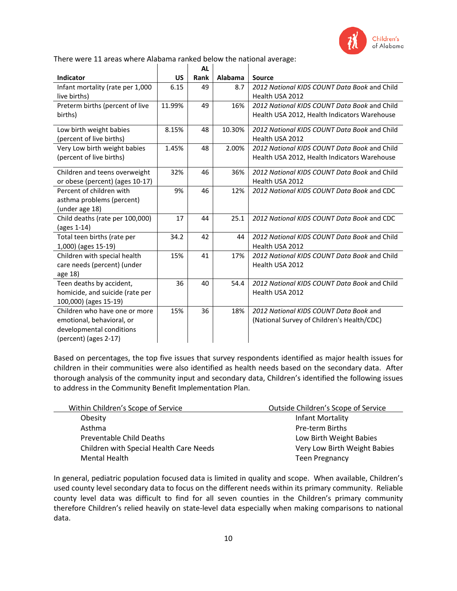

There were 11 areas where Alabama ranked below the national average:

|                                  |        | <b>AL</b> |                |                                              |
|----------------------------------|--------|-----------|----------------|----------------------------------------------|
| Indicator                        | US     | Rank      | <b>Alabama</b> | <b>Source</b>                                |
| Infant mortality (rate per 1,000 | 6.15   | 49        | 8.7            | 2012 National KIDS COUNT Data Book and Child |
| live births)                     |        |           |                | Health USA 2012                              |
| Preterm births (percent of live  | 11.99% | 49        | 16%            | 2012 National KIDS COUNT Data Book and Child |
| births)                          |        |           |                | Health USA 2012, Health Indicators Warehouse |
| Low birth weight babies          | 8.15%  | 48        | 10.30%         | 2012 National KIDS COUNT Data Book and Child |
| (percent of live births)         |        |           |                | Health USA 2012                              |
| Very Low birth weight babies     | 1.45%  | 48        | 2.00%          | 2012 National KIDS COUNT Data Book and Child |
| (percent of live births)         |        |           |                | Health USA 2012, Health Indicators Warehouse |
| Children and teens overweight    | 32%    | 46        | 36%            | 2012 National KIDS COUNT Data Book and Child |
| or obese (percent) (ages 10-17)  |        |           |                | Health USA 2012                              |
| Percent of children with         | 9%     | 46        | 12%            | 2012 National KIDS COUNT Data Book and CDC   |
| asthma problems (percent)        |        |           |                |                                              |
| (under age 18)                   |        |           |                |                                              |
| Child deaths (rate per 100,000)  | 17     | 44        | 25.1           | 2012 National KIDS COUNT Data Book and CDC   |
| (ages $1-14$ )                   |        |           |                |                                              |
| Total teen births (rate per      | 34.2   | 42        | 44             | 2012 National KIDS COUNT Data Book and Child |
| 1,000) (ages 15-19)              |        |           |                | Health USA 2012                              |
| Children with special health     | 15%    | 41        | 17%            | 2012 National KIDS COUNT Data Book and Child |
| care needs (percent) (under      |        |           |                | Health USA 2012                              |
| age 18)                          |        |           |                |                                              |
| Teen deaths by accident,         | 36     | 40        | 54.4           | 2012 National KIDS COUNT Data Book and Child |
| homicide, and suicide (rate per  |        |           |                | Health USA 2012                              |
| 100,000) (ages 15-19)            |        |           |                |                                              |
| Children who have one or more    | 15%    | 36        | 18%            | 2012 National KIDS COUNT Data Book and       |
| emotional, behavioral, or        |        |           |                | (National Survey of Children's Health/CDC)   |
| developmental conditions         |        |           |                |                                              |
| (percent) (ages 2-17)            |        |           |                |                                              |

Based on percentages, the top five issues that survey respondents identified as major health issues for children in their communities were also identified as health needs based on the secondary data. After thorough analysis of the community input and secondary data, Children's identified the following issues to address in the Community Benefit Implementation Plan.

| Within Children's Scope of Service      | Outside Children's Scope of Service |
|-----------------------------------------|-------------------------------------|
| Obesity                                 | Infant Mortality                    |
| Asthma                                  | Pre-term Births                     |
| Preventable Child Deaths                | Low Birth Weight Babies             |
| Children with Special Health Care Needs | Very Low Birth Weight Babies        |
| <b>Mental Health</b>                    | <b>Teen Pregnancy</b>               |

In general, pediatric population focused data is limited in quality and scope. When available, Children's used county level secondary data to focus on the different needs within its primary community. Reliable county level data was difficult to find for all seven counties in the Children's primary community therefore Children's relied heavily on state-level data especially when making comparisons to national data.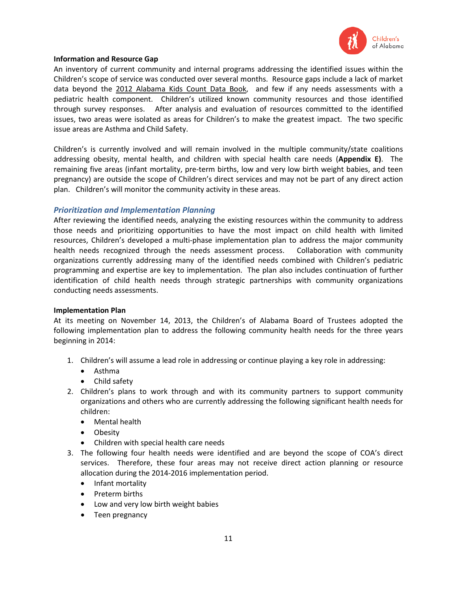

## **Information and Resource Gap**

An inventory of current community and internal programs addressing the identified issues within the Children's scope of service was conducted over several months. Resource gaps include a lack of market data beyond the 2012 Alabama Kids Count Data Book, and few if any needs assessments with a pediatric health component. Children's utilized known community resources and those identified through survey responses. After analysis and evaluation of resources committed to the identified issues, two areas were isolated as areas for Children's to make the greatest impact. The two specific issue areas are Asthma and Child Safety.

Children's is currently involved and will remain involved in the multiple community/state coalitions addressing obesity, mental health, and children with special health care needs (**Appendix E)**. The remaining five areas (infant mortality, pre-term births, low and very low birth weight babies, and teen pregnancy) are outside the scope of Children's direct services and may not be part of any direct action plan. Children's will monitor the community activity in these areas.

## *Prioritization and Implementation Planning*

After reviewing the identified needs, analyzing the existing resources within the community to address those needs and prioritizing opportunities to have the most impact on child health with limited resources, Children's developed a multi-phase implementation plan to address the major community health needs recognized through the needs assessment process. Collaboration with community organizations currently addressing many of the identified needs combined with Children's pediatric programming and expertise are key to implementation. The plan also includes continuation of further identification of child health needs through strategic partnerships with community organizations conducting needs assessments.

#### **Implementation Plan**

At its meeting on November 14, 2013, the Children's of Alabama Board of Trustees adopted the following implementation plan to address the following community health needs for the three years beginning in 2014:

- 1. Children's will assume a lead role in addressing or continue playing a key role in addressing:
	- Asthma
	- Child safety
- 2. Children's plans to work through and with its community partners to support community organizations and others who are currently addressing the following significant health needs for children:
	- Mental health
	- Obesity
	- Children with special health care needs
- 3. The following four health needs were identified and are beyond the scope of COA's direct services. Therefore, these four areas may not receive direct action planning or resource allocation during the 2014-2016 implementation period.
	- Infant mortality
	- Preterm births
	- Low and very low birth weight babies
	- Teen pregnancy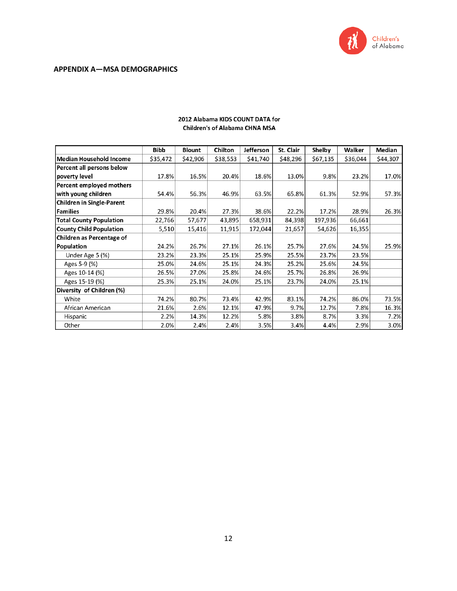

|                                  | <b>Bibb</b> | <b>Blount</b> | <b>Chilton</b> | <b>Jefferson</b> | St. Clair | <b>Shelby</b> | Walker   | <b>Median</b> |
|----------------------------------|-------------|---------------|----------------|------------------|-----------|---------------|----------|---------------|
| Median Household Income          | \$35,472    | \$42,906      | \$38,553       | \$41,740         | \$48,296  | \$67,135      | \$36,044 | \$44,307      |
| Percent all persons below        |             |               |                |                  |           |               |          |               |
| poverty level                    | 17.8%       | 16.5%         | 20.4%          | 18.6%            | 13.0%     | 9.8%          | 23.2%    | 17.0%         |
| Percent employed mothers         |             |               |                |                  |           |               |          |               |
| with young children              | 54.4%       | 56.3%         | 46.9%          | 63.5%            | 65.8%     | 61.3%         | 52.9%    | 57.3%         |
| <b>Children in Single-Parent</b> |             |               |                |                  |           |               |          |               |
| Families                         | 29.8%       | 20.4%         | 27.3%          | 38.6%            | 22.2%     | 17.2%         | 28.9%    | 26.3%         |
| <b>Total County Population</b>   | 22,766      | 57,677        | 43,895         | 658,931          | 84,398    | 197,936       | 66,661   |               |
| <b>County Child Population</b>   | 5,510       | 15,416        | 11,915         | 172,044          | 21,657    | 54,626        | 16,355   |               |
| <b>Children as Percentage of</b> |             |               |                |                  |           |               |          |               |
| Population                       | 24.2%       | 26.7%         | 27.1%          | 26.1%            | 25.7%     | 27.6%         | 24.5%    | 25.9%         |
| Under Age 5 (%)                  | 23.2%       | 23.3%         | 25.1%          | 25.9%            | 25.5%     | 23.7%         | 23.5%    |               |
| Ages 5-9 (%)                     | 25.0%       | 24.6%         | 25.1%          | 24.3%            | 25.2%     | 25.6%         | 24.5%    |               |
| Ages 10-14 (%)                   | 26.5%       | 27.0%         | 25.8%          | 24.6%            | 25.7%     | 26.8%         | 26.9%    |               |
| Ages 15-19 (%)                   | 25.3%       | 25.1%         | 24.0%          | 25.1%            | 23.7%     | 24.0%         | 25.1%    |               |
| Diversity of Children (%)        |             |               |                |                  |           |               |          |               |
| White                            | 74.2%       | 80.7%         | 73.4%          | 42.9%            | 83.1%     | 74.2%         | 86.0%    | 73.5%         |
| African American                 | 21.6%       | 2.6%          | 12.1%          | 47.9%            | 9.7%      | 12.7%         | 7.8%     | 16.3%         |
| Hispanic                         | 2.2%        | 14.3%         | 12.2%          | 5.8%             | 3.8%      | 8.7%          | 3.3%     | 7.2%          |
| Other                            | 2.0%        | 2.4%          | 2.4%           | 3.5%             | 3.4%      | 4.4%          | 2.9%     | 3.0%          |

### 2012 Alabama KIDS COUNT DATA for **Children's of Alabama CHNA MSA**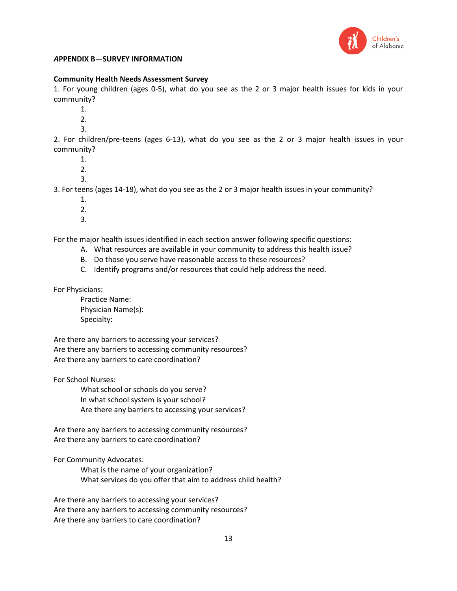

# *A***PPENDIX B—SURVEY INFORMATION**

### **Community Health Needs Assessment Survey**

1. For young children (ages 0-5), what do you see as the 2 or 3 major health issues for kids in your community?

- 1.
- 2.
- 3.

2. For children/pre-teens (ages 6-13), what do you see as the 2 or 3 major health issues in your community?

- 1.
- 2.
- 3.

3. For teens (ages 14-18), what do you see as the 2 or 3 major health issues in your community?

- 1.
- 2.
- 3.

For the major health issues identified in each section answer following specific questions:

- A. What resources are available in your community to address this health issue?
- B. Do those you serve have reasonable access to these resources?
- C. Identify programs and/or resources that could help address the need.

For Physicians:

Practice Name: Physician Name(s): Specialty:

Are there any barriers to accessing your services? Are there any barriers to accessing community resources? Are there any barriers to care coordination?

For School Nurses:

What school or schools do you serve? In what school system is your school? Are there any barriers to accessing your services?

Are there any barriers to accessing community resources? Are there any barriers to care coordination?

For Community Advocates:

What is the name of your organization? What services do you offer that aim to address child health?

Are there any barriers to accessing your services? Are there any barriers to accessing community resources? Are there any barriers to care coordination?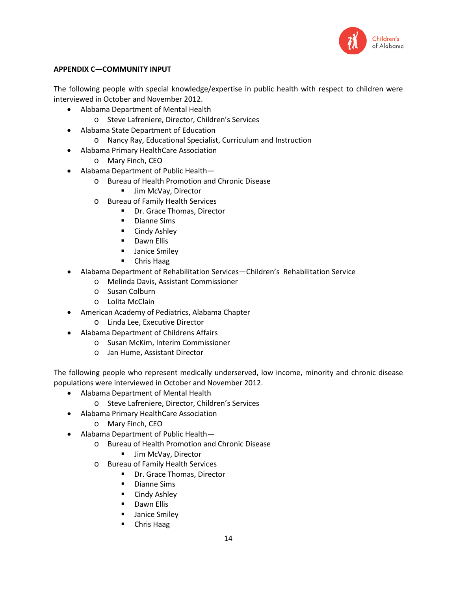

# **APPENDIX C—COMMUNITY INPUT**

The following people with special knowledge/expertise in public health with respect to children were interviewed in October and November 2012.

- Alabama Department of Mental Health
	- o Steve Lafreniere, Director, Children's Services
- Alabama State Department of Education
	- o Nancy Ray, Educational Specialist, Curriculum and Instruction
- Alabama Primary HealthCare Association
	- o Mary Finch, CEO
- Alabama Department of Public Health
	- o Bureau of Health Promotion and Chronic Disease
		- **Jim McVay, Director**
		- o Bureau of Family Health Services
			- Dr. Grace Thomas, Director
			- **Dianne Sims**
			- **E** Cindy Ashley
			- **Dawn Ellis**
			- **Janice Smiley**
			- **-** Chris Haag
- Alabama Department of Rehabilitation Services—Children's Rehabilitation Service
	- o Melinda Davis, Assistant Commissioner
	- o Susan Colburn
	- o Lolita McClain
- American Academy of Pediatrics, Alabama Chapter
	- o Linda Lee, Executive Director
- Alabama Department of Childrens Affairs
	- o Susan McKim, Interim Commissioner
	- o Jan Hume, Assistant Director

The following people who represent medically underserved, low income, minority and chronic disease populations were interviewed in October and November 2012.

- Alabama Department of Mental Health
	- o Steve Lafreniere, Director, Children's Services
- Alabama Primary HealthCare Association
	- o Mary Finch, CEO
- Alabama Department of Public Health
	- o Bureau of Health Promotion and Chronic Disease
		- **Jim McVay, Director**
	- o Bureau of Family Health Services
		- Dr. Grace Thomas, Director
		- **-** Dianne Sims
		- **E** Cindy Ashley
		- **-** Dawn Ellis
		- **Janice Smiley**
		- **•** Chris Haag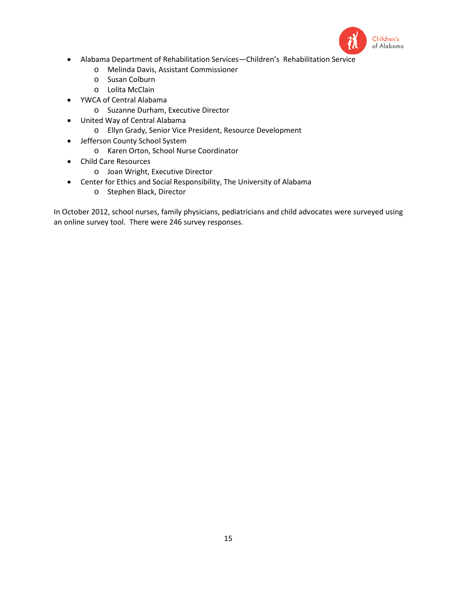

- Alabama Department of Rehabilitation Services—Children's Rehabilitation Service
	- o Melinda Davis, Assistant Commissioner
	- o Susan Colburn
	- o Lolita McClain
- YWCA of Central Alabama
	- o Suzanne Durham, Executive Director
- United Way of Central Alabama
	- o Ellyn Grady, Senior Vice President, Resource Development
- Jefferson County School System
	- o Karen Orton, School Nurse Coordinator
- Child Care Resources
	- o Joan Wright, Executive Director
- Center for Ethics and Social Responsibility, The University of Alabama
	- o Stephen Black, Director

In October 2012, school nurses, family physicians, pediatricians and child advocates were surveyed using an online survey tool. There were 246 survey responses.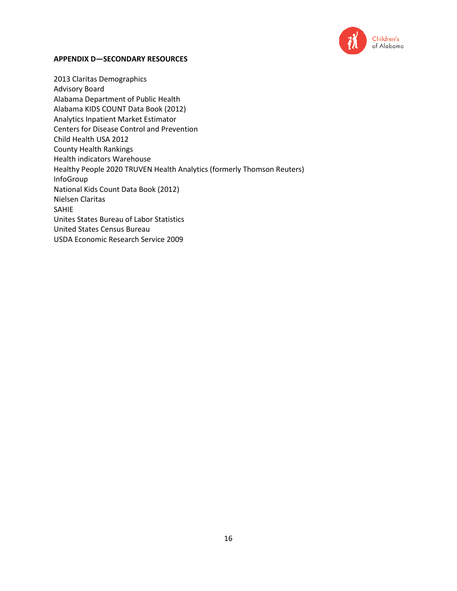

#### **APPENDIX D—SECONDARY RESOURCES**

2013 Claritas Demographics Advisory Board Alabama Department of Public Health Alabama KIDS COUNT Data Book (2012) Analytics Inpatient Market Estimator Centers for Disease Control and Prevention Child Health USA 2012 County Health Rankings Health indicators Warehouse Healthy People 2020 TRUVEN Health Analytics (formerly Thomson Reuters) InfoGroup National Kids Count Data Book (2012) Nielsen Claritas SAHIE Unites States Bureau of Labor Statistics United States Census Bureau USDA Economic Research Service 2009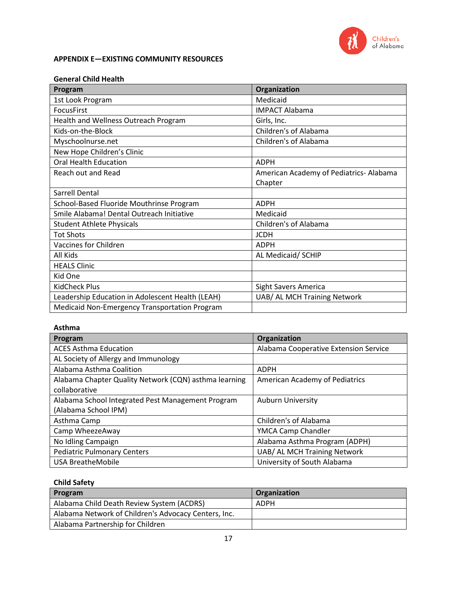

# **APPENDIX E—EXISTING COMMUNITY RESOURCES**

### **General Child Health**

| Program                                          | Organization                           |
|--------------------------------------------------|----------------------------------------|
| 1st Look Program                                 | Medicaid                               |
| <b>FocusFirst</b>                                | <b>IMPACT Alabama</b>                  |
| Health and Wellness Outreach Program             | Girls, Inc.                            |
| Kids-on-the-Block                                | Children's of Alabama                  |
| Myschoolnurse.net                                | Children's of Alabama                  |
| New Hope Children's Clinic                       |                                        |
| <b>Oral Health Education</b>                     | <b>ADPH</b>                            |
| Reach out and Read                               | American Academy of Pediatrics-Alabama |
|                                                  | Chapter                                |
| Sarrell Dental                                   |                                        |
| School-Based Fluoride Mouthrinse Program         | <b>ADPH</b>                            |
| Smile Alabama! Dental Outreach Initiative        | Medicaid                               |
| <b>Student Athlete Physicals</b>                 | Children's of Alabama                  |
| <b>Tot Shots</b>                                 | <b>JCDH</b>                            |
| Vaccines for Children                            | <b>ADPH</b>                            |
| All Kids                                         | AL Medicaid/ SCHIP                     |
| <b>HEALS Clinic</b>                              |                                        |
| Kid One                                          |                                        |
| <b>KidCheck Plus</b>                             | <b>Sight Savers America</b>            |
| Leadership Education in Adolescent Health (LEAH) | UAB/ AL MCH Training Network           |
| Medicaid Non-Emergency Transportation Program    |                                        |

### **Asthma**

| Program                                               | Organization                          |
|-------------------------------------------------------|---------------------------------------|
| <b>ACES Asthma Education</b>                          | Alabama Cooperative Extension Service |
| AL Society of Allergy and Immunology                  |                                       |
| Alabama Asthma Coalition                              | <b>ADPH</b>                           |
| Alabama Chapter Quality Network (CQN) asthma learning | American Academy of Pediatrics        |
| collaborative                                         |                                       |
| Alabama School Integrated Pest Management Program     | <b>Auburn University</b>              |
| (Alabama School IPM)                                  |                                       |
| Asthma Camp                                           | Children's of Alabama                 |
| Camp WheezeAway                                       | YMCA Camp Chandler                    |
| No Idling Campaign                                    | Alabama Asthma Program (ADPH)         |
| <b>Pediatric Pulmonary Centers</b>                    | UAB/ AL MCH Training Network          |
| <b>USA BreatheMobile</b>                              | University of South Alabama           |

# **Child Safety**

| Program                                              | Organization |
|------------------------------------------------------|--------------|
| Alabama Child Death Review System (ACDRS)            | ADPH         |
| Alabama Network of Children's Advocacy Centers, Inc. |              |
| Alabama Partnership for Children                     |              |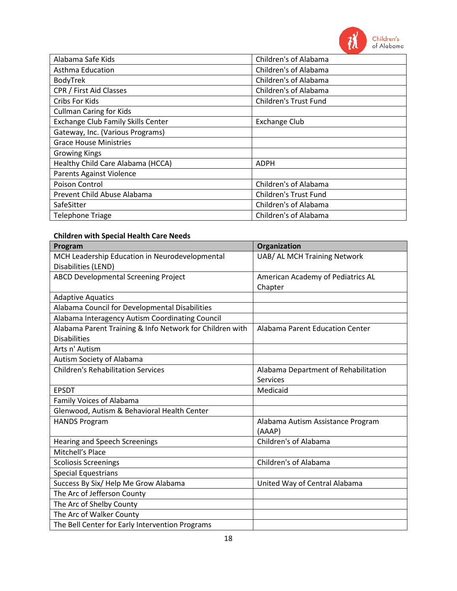

| Alabama Safe Kids                         | Children's of Alabama        |
|-------------------------------------------|------------------------------|
| Asthma Education                          | Children's of Alabama        |
| BodyTrek                                  | Children's of Alabama        |
| CPR / First Aid Classes                   | Children's of Alabama        |
| Cribs For Kids                            | Children's Trust Fund        |
| <b>Cullman Caring for Kids</b>            |                              |
| <b>Exchange Club Family Skills Center</b> | <b>Exchange Club</b>         |
| Gateway, Inc. (Various Programs)          |                              |
| <b>Grace House Ministries</b>             |                              |
| <b>Growing Kings</b>                      |                              |
| Healthy Child Care Alabama (HCCA)         | <b>ADPH</b>                  |
| <b>Parents Against Violence</b>           |                              |
| Poison Control                            | Children's of Alabama        |
| Prevent Child Abuse Alabama               | <b>Children's Trust Fund</b> |
| SafeSitter                                | Children's of Alabama        |
| <b>Telephone Triage</b>                   | Children's of Alabama        |

# **Children with Special Health Care Needs**

| Program                                                  | Organization                           |
|----------------------------------------------------------|----------------------------------------|
| MCH Leadership Education in Neurodevelopmental           | UAB/ AL MCH Training Network           |
| Disabilities (LEND)                                      |                                        |
| <b>ABCD Developmental Screening Project</b>              | American Academy of Pediatrics AL      |
|                                                          | Chapter                                |
| <b>Adaptive Aquatics</b>                                 |                                        |
| Alabama Council for Developmental Disabilities           |                                        |
| Alabama Interagency Autism Coordinating Council          |                                        |
| Alabama Parent Training & Info Network for Children with | <b>Alabama Parent Education Center</b> |
| <b>Disabilities</b>                                      |                                        |
| Arts n' Autism                                           |                                        |
| Autism Society of Alabama                                |                                        |
| <b>Children's Rehabilitation Services</b>                | Alabama Department of Rehabilitation   |
|                                                          | <b>Services</b>                        |
| <b>EPSDT</b>                                             | Medicaid                               |
| <b>Family Voices of Alabama</b>                          |                                        |
| Glenwood, Autism & Behavioral Health Center              |                                        |
| <b>HANDS Program</b>                                     | Alabama Autism Assistance Program      |
|                                                          | (AAAP)                                 |
| <b>Hearing and Speech Screenings</b>                     | Children's of Alabama                  |
| Mitchell's Place                                         |                                        |
| <b>Scoliosis Screenings</b>                              | Children's of Alabama                  |
| <b>Special Equestrians</b>                               |                                        |
| Success By Six/ Help Me Grow Alabama                     | United Way of Central Alabama          |
| The Arc of Jefferson County                              |                                        |
| The Arc of Shelby County                                 |                                        |
| The Arc of Walker County                                 |                                        |
| The Bell Center for Early Intervention Programs          |                                        |